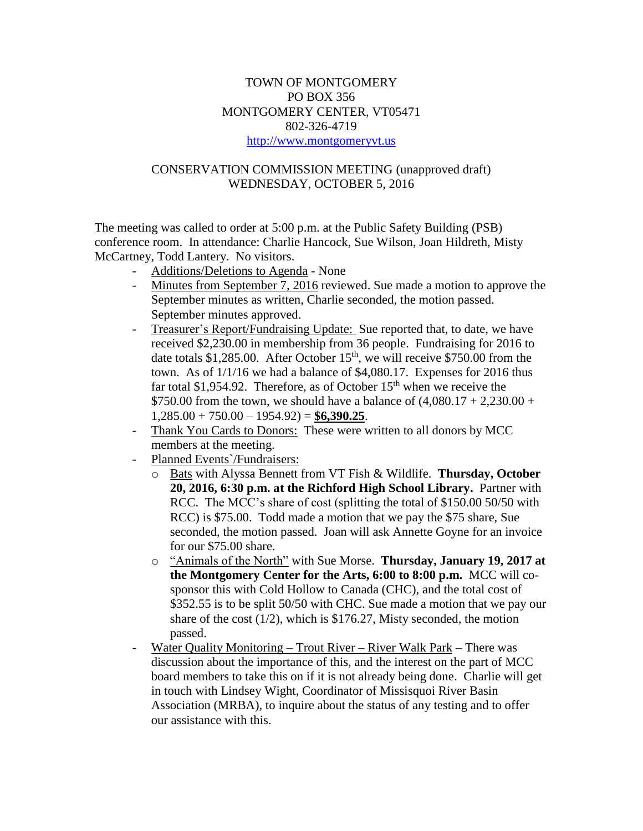## TOWN OF MONTGOMERY PO BOX 356 MONTGOMERY CENTER, VT05471 802-326-4719 [http://www.montgomeryvt.us](http://www.montgomeryvt.us/)

## CONSERVATION COMMISSION MEETING (unapproved draft) WEDNESDAY, OCTOBER 5, 2016

The meeting was called to order at 5:00 p.m. at the Public Safety Building (PSB) conference room. In attendance: Charlie Hancock, Sue Wilson, Joan Hildreth, Misty McCartney, Todd Lantery. No visitors.

- Additions/Deletions to Agenda None
- Minutes from September 7, 2016 reviewed. Sue made a motion to approve the September minutes as written, Charlie seconded, the motion passed. September minutes approved.
- Treasurer's Report/Fundraising Update: Sue reported that, to date, we have received \$2,230.00 in membership from 36 people. Fundraising for 2016 to date totals \$1,285.00. After October 15<sup>th</sup>, we will receive \$750.00 from the town. As of 1/1/16 we had a balance of \$4,080.17. Expenses for 2016 thus far total \$1,954.92. Therefore, as of October  $15<sup>th</sup>$  when we receive the \$750.00 from the town, we should have a balance of  $(4,080.17 + 2,230.00 +$ 1,285.00 + 750.00 – 1954.92) = **\$6,390.25**.
- Thank You Cards to Donors: These were written to all donors by MCC members at the meeting.
- Planned Events`/Fundraisers:
	- o Bats with Alyssa Bennett from VT Fish & Wildlife. **Thursday, October 20, 2016, 6:30 p.m. at the Richford High School Library.** Partner with RCC. The MCC's share of cost (splitting the total of \$150.00 50/50 with RCC) is \$75.00. Todd made a motion that we pay the \$75 share, Sue seconded, the motion passed. Joan will ask Annette Goyne for an invoice for our \$75.00 share.
	- o "Animals of the North" with Sue Morse. **Thursday, January 19, 2017 at the Montgomery Center for the Arts, 6:00 to 8:00 p.m.** MCC will cosponsor this with Cold Hollow to Canada (CHC), and the total cost of \$352.55 is to be split 50/50 with CHC. Sue made a motion that we pay our share of the cost (1/2), which is \$176.27, Misty seconded, the motion passed.
- Water Quality Monitoring Trout River River Walk Park There was discussion about the importance of this, and the interest on the part of MCC board members to take this on if it is not already being done. Charlie will get in touch with Lindsey Wight, Coordinator of Missisquoi River Basin Association (MRBA), to inquire about the status of any testing and to offer our assistance with this.